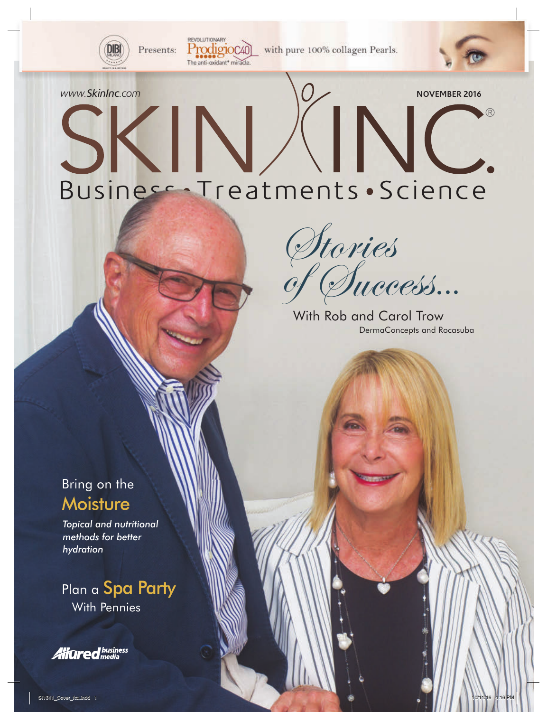

Presents:

with pure 100% collagen Pearls.

# WWW.SkinInc.com<br>
SKINKING KIN, Business Treatments Science

REVOLUTIONARY

Prodigioc40 The anti-oxidant<sup>\*</sup> miracle

> Success... Stories of

With Rob and Carol Trow<br>DermaConcepts and Rocasuba

Bring on the **Moisture** 

*Topical and nutritional methods for better hydration*

Plan a **Spa Party**<br>With Pennies

**All Gred** business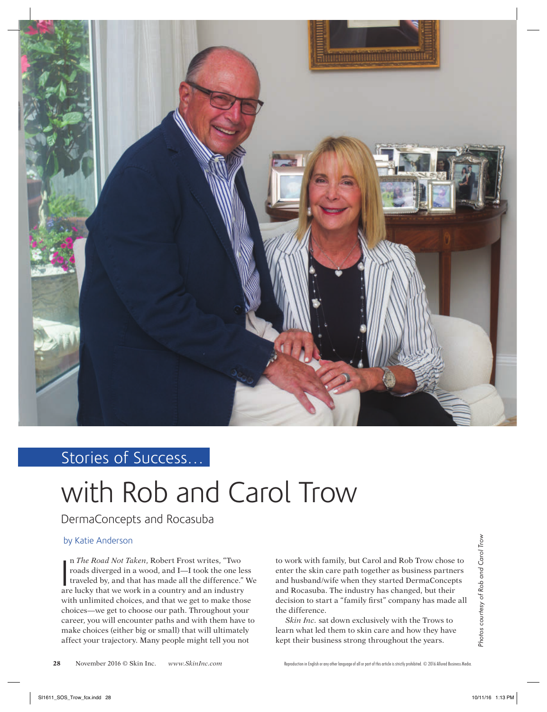

# Stories of Success…

# with Rob and Carol Trow

DermaConcepts and Rocasuba

# by Katie Anderson

n *The Road Not Taken*, Robert Frost writes, "Two roads diverged in a wood, and I—I took the one less traveled by, and that has made all the difference." We n *The Road Not Taken*, Robert Frost writes, "Two roads diverged in a wood, and I—I took the one lest traveled by, and that has made all the difference." are lucky that we work in a country and an industry with unlimited choices, and that we get to make those choices—we get to choose our path. Throughout your career, you will encounter paths and with them have to make choices (either big or small) that will ultimately affect your trajectory. Many people might tell you not

to work with family, but Carol and Rob Trow chose to enter the skin care path together as business partners and husband/wife when they started DermaConcepts and Rocasuba. The industry has changed, but their decision to start a "family first" company has made all the difference.

*Skin Inc.* sat down exclusively with the Trows to learn what led them to skin care and how they have kept their business strong throughout the years.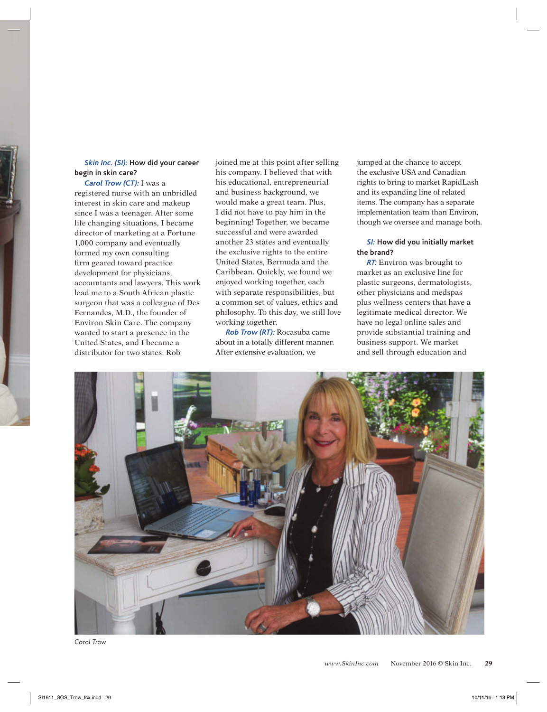#### *Skin Inc. (SI):* **How did your career begin in skin care?**

*Carol Trow (CT):* I was a registered nurse with an unbridled interest in skin care and makeup since I was a teenager. After some life changing situations, I became director of marketing at a Fortune 1,000 company and eventually formed my own consulting firm geared toward practice development for physicians, accountants and lawyers. This work lead me to a South African plastic surgeon that was a colleague of Des Fernandes, M.D., the founder of Environ Skin Care. The company wanted to start a presence in the United States, and I became a distributor for two states. Rob

joined me at this point after selling his company. I believed that with his educational, entrepreneurial and business background, we would make a great team. Plus, I did not have to pay him in the beginning! Together, we became successful and were awarded another 23 states and eventually the exclusive rights to the entire United States, Bermuda and the Caribbean. Quickly, we found we enjoyed working together, each with separate responsibilities, but a common set of values, ethics and philosophy. To this day, we still love working together.

*Rob Trow (RT):* Rocasuba came about in a totally different manner. After extensive evaluation, we

jumped at the chance to accept the exclusive USA and Canadian rights to bring to market RapidLash and its expanding line of related items. The company has a separate implementation team than Environ, though we oversee and manage both.

#### *SI:* **How did you initially market the brand?**

*RT:* Environ was brought to market as an exclusive line for plastic surgeons, dermatologists, other physicians and medspas plus wellness centers that have a legitimate medical director. We have no legal online sales and provide substantial training and business support. We market and sell through education and



*Carol Trow*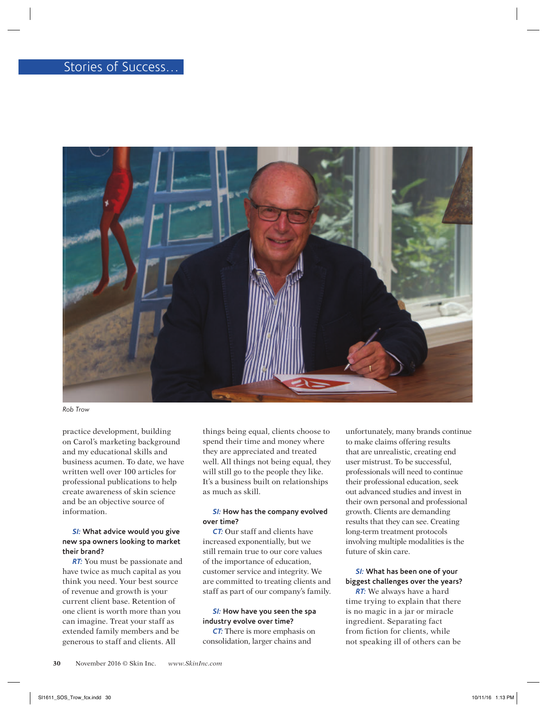

*Rob Trow*

practice development, building on Carol's marketing background and my educational skills and business acumen. To date, we have written well over 100 articles for professional publications to help create awareness of skin science and be an objective source of information.

#### *SI:* **What advice would you give new spa owners looking to market their brand?**

*RT:* You must be passionate and have twice as much capital as you think you need. Your best source of revenue and growth is your current client base. Retention of one client is worth more than you can imagine. Treat your staff as extended family members and be generous to staff and clients. All

things being equal, clients choose to spend their time and money where they are appreciated and treated well. All things not being equal, they will still go to the people they like. It's a business built on relationships as much as skill.

#### *SI:* **How has the company evolved over time?**

*CT:* Our staff and clients have increased exponentially, but we still remain true to our core values of the importance of education, customer service and integrity. We are committed to treating clients and staff as part of our company's family.

#### *SI:* **How have you seen the spa industry evolve over time?**

*CT:* There is more emphasis on consolidation, larger chains and

unfortunately, many brands continue to make claims offering results that are unrealistic, creating end user mistrust. To be successful, professionals will need to continue their professional education, seek out advanced studies and invest in their own personal and professional growth. Clients are demanding results that they can see. Creating long-term treatment protocols involving multiple modalities is the future of skin care.

# *SI:* **What has been one of your biggest challenges over the years?**

*RT:* We always have a hard time trying to explain that there is no magic in a jar or miracle ingredient. Separating fact from fiction for clients, while not speaking ill of others can be